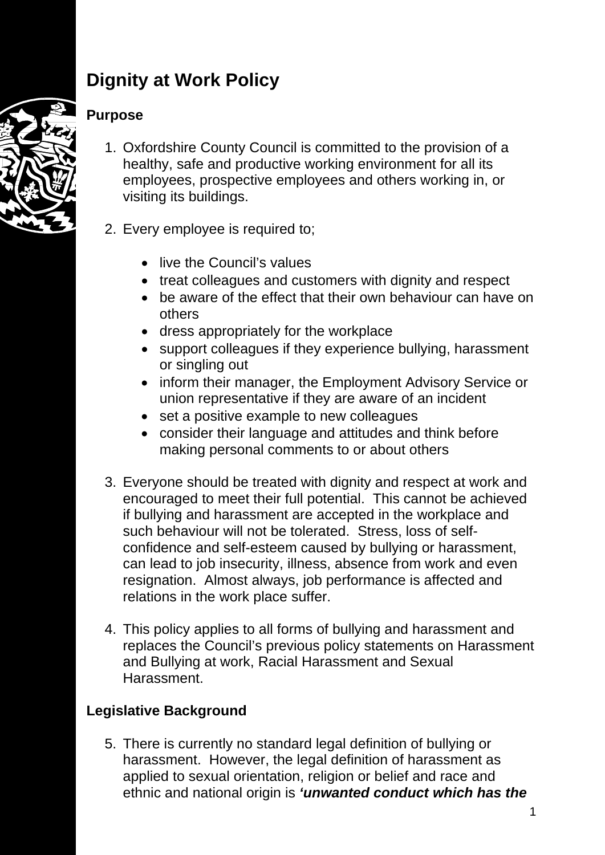# **Dignity at Work Policy**

## **Purpose**

- 1. Oxfordshire County Council is committed to the provision of a healthy, safe and productive working environment for all its employees, prospective employees and others working in, or visiting its buildings.
- 2. Every employee is required to;
	- live the Council's values
	- treat colleagues and customers with dignity and respect
	- be aware of the effect that their own behaviour can have on others
	- dress appropriately for the workplace
	- support colleagues if they experience bullying, harassment or singling out
	- inform their manager, the Employment Advisory Service or union representative if they are aware of an incident
	- set a positive example to new colleagues
	- consider their language and attitudes and think before making personal comments to or about others
- 3. Everyone should be treated with dignity and respect at work and encouraged to meet their full potential. This cannot be achieved if bullying and harassment are accepted in the workplace and such behaviour will not be tolerated. Stress, loss of selfconfidence and self-esteem caused by bullying or harassment, can lead to job insecurity, illness, absence from work and even resignation. Almost always, job performance is affected and relations in the work place suffer.
- 4. This policy applies to all forms of bullying and harassment and replaces the Council's previous policy statements on Harassment and Bullying at work, Racial Harassment and Sexual **Harassment**

# **Legislative Background**

5. There is currently no standard legal definition of bullying or harassment. However, the legal definition of harassment as applied to sexual orientation, religion or belief and race and ethnic and national origin is *'unwanted conduct which has the*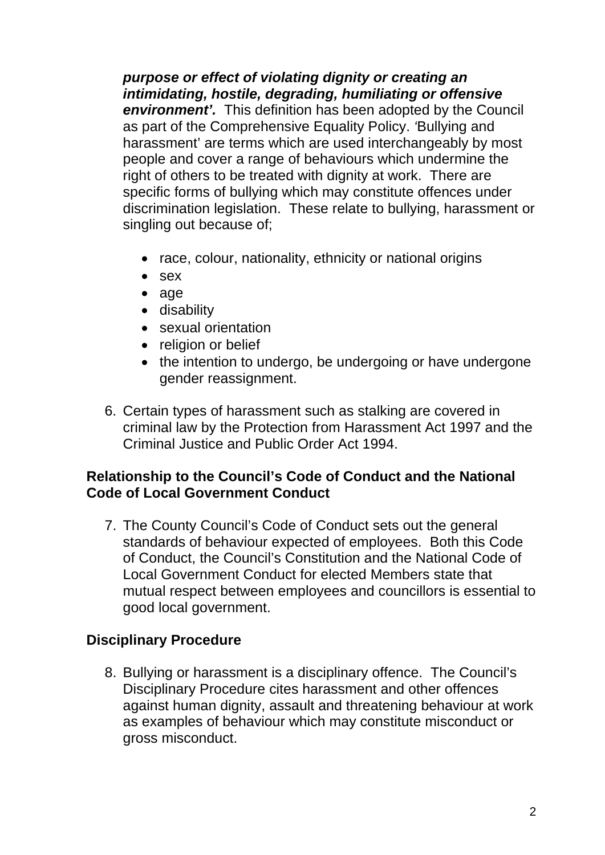*purpose or effect of violating dignity or creating an intimidating, hostile, degrading, humiliating or offensive environment'.* This definition has been adopted by the Council as part of the Comprehensive Equality Policy. *'*Bullying and harassment' are terms which are used interchangeably by most people and cover a range of behaviours which undermine the right of others to be treated with dignity at work. There are specific forms of bullying which may constitute offences under discrimination legislation. These relate to bullying, harassment or singling out because of;

- race, colour, nationality, ethnicity or national origins
- sex
- age
- disability
- sexual orientation
- religion or belief
- the intention to undergo, be undergoing or have undergone gender reassignment.
- 6. Certain types of harassment such as stalking are covered in criminal law by the Protection from Harassment Act 1997 and the Criminal Justice and Public Order Act 1994.

#### **Relationship to the Council's Code of Conduct and the National Code of Local Government Conduct**

7. The County Council's Code of Conduct sets out the general standards of behaviour expected of employees. Both this Code of Conduct, the Council's Constitution and the National Code of Local Government Conduct for elected Members state that mutual respect between employees and councillors is essential to good local government.

## **Disciplinary Procedure**

8. Bullying or harassment is a disciplinary offence. The Council's Disciplinary Procedure cites harassment and other offences against human dignity, assault and threatening behaviour at work as examples of behaviour which may constitute misconduct or gross misconduct.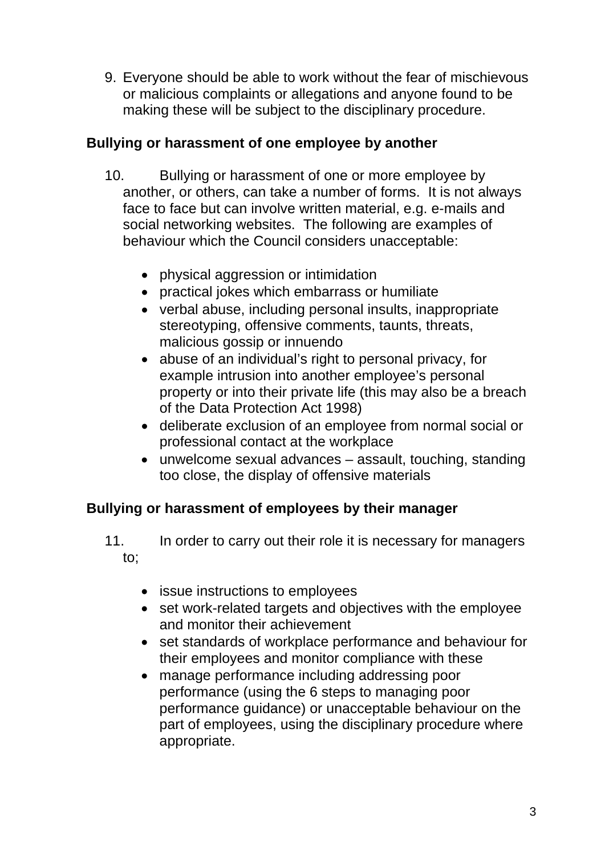9. Everyone should be able to work without the fear of mischievous or malicious complaints or allegations and anyone found to be making these will be subject to the disciplinary procedure.

## **Bullying or harassment of one employee by another**

- 10. Bullying or harassment of one or more employee by another, or others, can take a number of forms.It is not always face to face but can involve written material, e.g. e-mails and social networking websites. The following are examples of behaviour which the Council considers unacceptable:
	- physical aggression or intimidation
	- practical jokes which embarrass or humiliate
	- verbal abuse, including personal insults, inappropriate stereotyping, offensive comments, taunts, threats, malicious gossip or innuendo
	- abuse of an individual's right to personal privacy, for example intrusion into another employee's personal property or into their private life (this may also be a breach of the Data Protection Act 1998)
	- deliberate exclusion of an employee from normal social or professional contact at the workplace
	- unwelcome sexual advances assault, touching, standing too close, the display of offensive materials

# **Bullying or harassment of employees by their manager**

- 11. In order to carry out their role it is necessary for managers to;
	- issue instructions to employees
	- set work-related targets and objectives with the employee and monitor their achievement
	- set standards of workplace performance and behaviour for their employees and monitor compliance with these
	- manage performance including addressing poor performance (using the 6 steps to managing poor performance guidance) or unacceptable behaviour on the part of employees, using the disciplinary procedure where appropriate.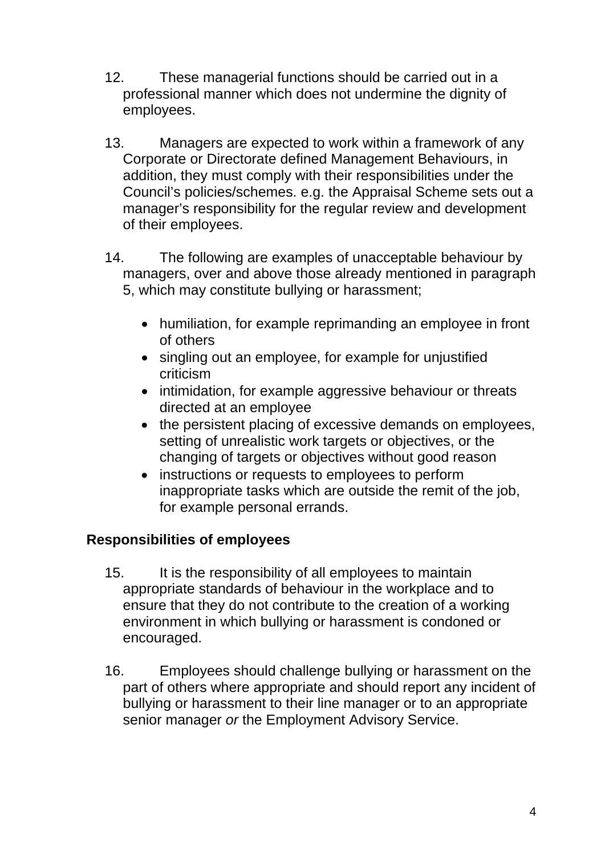- 12. These managerial functions should be carried out in a professional manner which does not undermine the dignity of employees.
- 13. Managers are expected to work within a framework of any Corporate or Directorate defined Management Behaviours, in addition, they must comply with their responsibilities under the Council's policies/schemes. e.g. the Appraisal Scheme sets out a manager's responsibility for the regular review and development of their employees.
- 14. The following are examples of unacceptable behaviour by managers, over and above those already mentioned in paragraph 5, which may constitute bullying or harassment;
	- humiliation, for example reprimanding an employee in front of others
	- singling out an employee, for example for unjustified criticism
	- intimidation, for example aggressive behaviour or threats directed at an employee
	- the persistent placing of excessive demands on employees, setting of unrealistic work targets or objectives, or the changing of targets or objectives without good reason
	- instructions or requests to employees to perform inappropriate tasks which are outside the remit of the job, for example personal errands.

## **Responsibilities of employees**

- 15. It is the responsibility of all employees to maintain appropriate standards of behaviour in the workplace and to ensure that they do not contribute to the creation of a working environment in which bullying or harassment is condoned or encouraged.
- 16. Employees should challenge bullying or harassment on the part of others where appropriate and should report any incident of bullying or harassment to their line manager or to an appropriate senior manager *or* the Employment Advisory Service.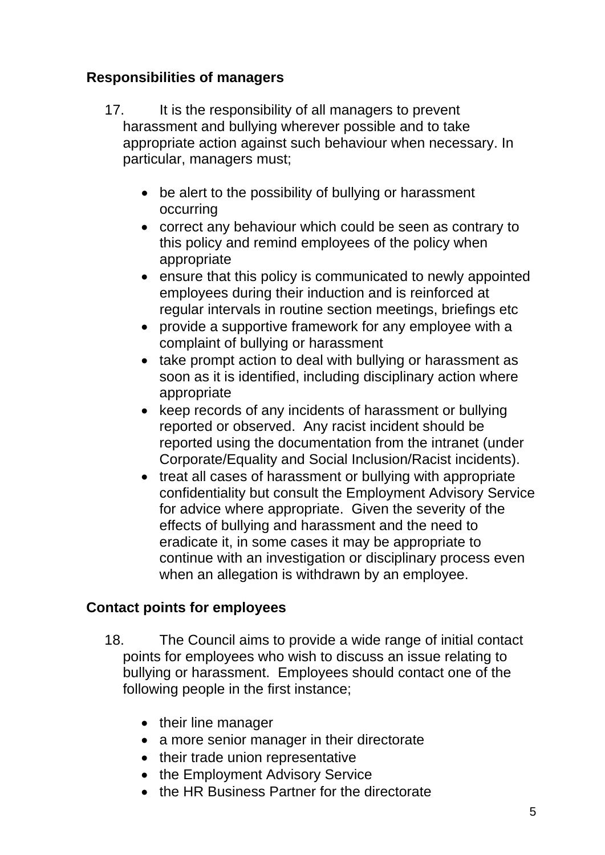## **Responsibilities of managers**

- 17. It is the responsibility of all managers to prevent harassment and bullying wherever possible and to take appropriate action against such behaviour when necessary. In particular, managers must;
	- be alert to the possibility of bullying or harassment occurring
	- correct any behaviour which could be seen as contrary to this policy and remind employees of the policy when appropriate
	- ensure that this policy is communicated to newly appointed employees during their induction and is reinforced at regular intervals in routine section meetings, briefings etc
	- provide a supportive framework for any employee with a complaint of bullying or harassment
	- take prompt action to deal with bullying or harassment as soon as it is identified, including disciplinary action where appropriate
	- keep records of any incidents of harassment or bullying reported or observed. Any racist incident should be reported using the documentation from the intranet (under Corporate/Equality and Social Inclusion/Racist incidents).
	- treat all cases of harassment or bullying with appropriate confidentiality but consult the Employment Advisory Service for advice where appropriate. Given the severity of the effects of bullying and harassment and the need to eradicate it, in some cases it may be appropriate to continue with an investigation or disciplinary process even when an allegation is withdrawn by an employee.

# **Contact points for employees**

- 18. The Council aims to provide a wide range of initial contact points for employees who wish to discuss an issue relating to bullying or harassment. Employees should contact one of the following people in the first instance;
	- their line manager
	- a more senior manager in their directorate
	- their trade union representative
	- the Employment Advisory Service
	- the HR Business Partner for the directorate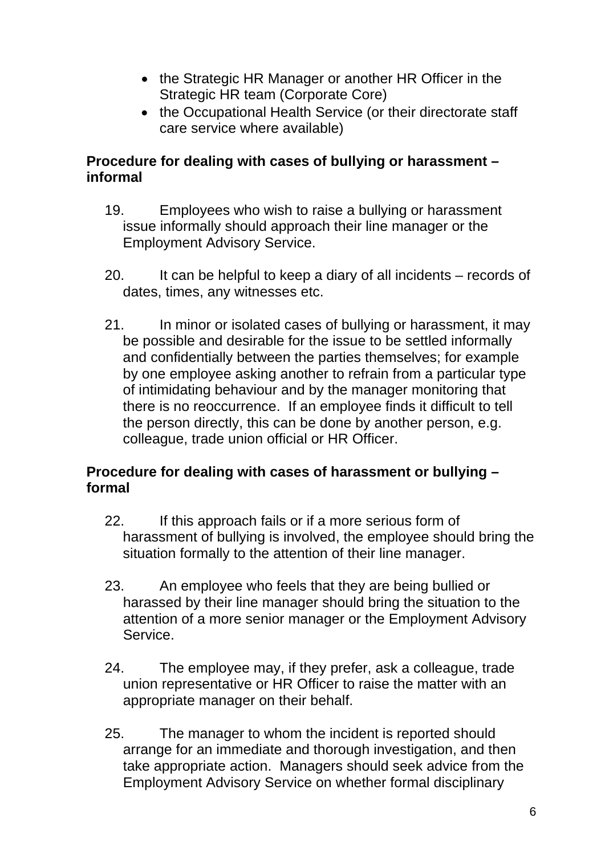- the Strategic HR Manager or another HR Officer in the Strategic HR team (Corporate Core)
- the Occupational Health Service (or their directorate staff care service where available)

#### **Procedure for dealing with cases of bullying or harassment – informal**

- 19. Employees who wish to raise a bullying or harassment issue informally should approach their line manager or the Employment Advisory Service.
- 20. It can be helpful to keep a diary of all incidents records of dates, times, any witnesses etc.
- 21. In minor or isolated cases of bullying or harassment, it may be possible and desirable for the issue to be settled informally and confidentially between the parties themselves; for example by one employee asking another to refrain from a particular type of intimidating behaviour and by the manager monitoring that there is no reoccurrence. If an employee finds it difficult to tell the person directly, this can be done by another person, e.g. colleague, trade union official or HR Officer.

#### **Procedure for dealing with cases of harassment or bullying – formal**

- 22. If this approach fails or if a more serious form of harassment of bullying is involved, the employee should bring the situation formally to the attention of their line manager.
- 23. An employee who feels that they are being bullied or harassed by their line manager should bring the situation to the attention of a more senior manager or the Employment Advisory Service.
- 24. The employee may, if they prefer, ask a colleague, trade union representative or HR Officer to raise the matter with an appropriate manager on their behalf.
- 25. The manager to whom the incident is reported should arrange for an immediate and thorough investigation, and then take appropriate action. Managers should seek advice from the Employment Advisory Service on whether formal disciplinary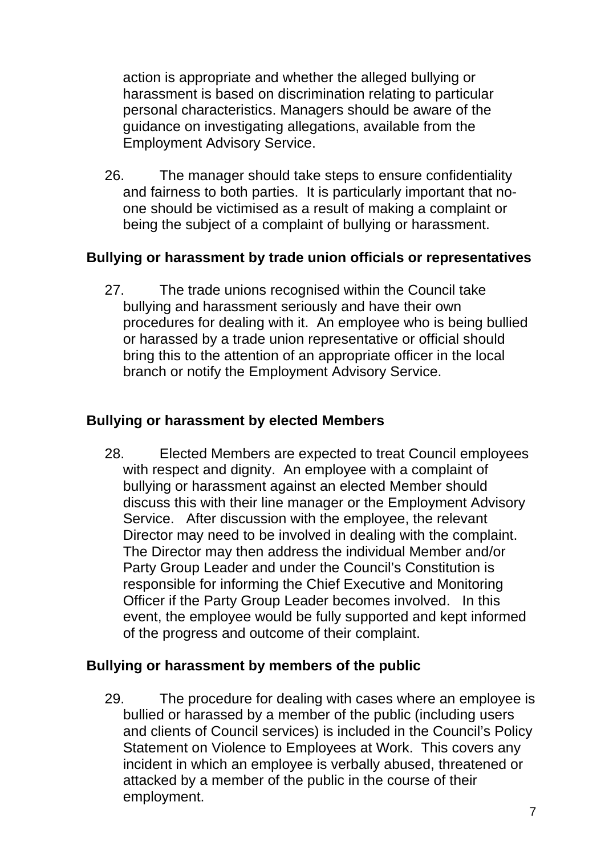action is appropriate and whether the alleged bullying or harassment is based on discrimination relating to particular personal characteristics. Managers should be aware of the guidance on investigating allegations, available from the Employment Advisory Service.

26. The manager should take steps to ensure confidentiality and fairness to both parties. It is particularly important that noone should be victimised as a result of making a complaint or being the subject of a complaint of bullying or harassment.

#### **Bullying or harassment by trade union officials or representatives**

27. The trade unions recognised within the Council take bullying and harassment seriously and have their own procedures for dealing with it. An employee who is being bullied or harassed by a trade union representative or official should bring this to the attention of an appropriate officer in the local branch or notify the Employment Advisory Service.

#### **Bullying or harassment by elected Members**

28. Elected Members are expected to treat Council employees with respect and dignity. An employee with a complaint of bullying or harassment against an elected Member should discuss this with their line manager or the Employment Advisory Service. After discussion with the employee, the relevant Director may need to be involved in dealing with the complaint. The Director may then address the individual Member and/or Party Group Leader and under the Council's Constitution is responsible for informing the Chief Executive and Monitoring Officer if the Party Group Leader becomes involved. In this event, the employee would be fully supported and kept informed of the progress and outcome of their complaint.

#### **Bullying or harassment by members of the public**

29. The procedure for dealing with cases where an employee is bullied or harassed by a member of the public (including users and clients of Council services) is included in the Council's Policy Statement on Violence to Employees at Work. This covers any incident in which an employee is verbally abused, threatened or attacked by a member of the public in the course of their employment.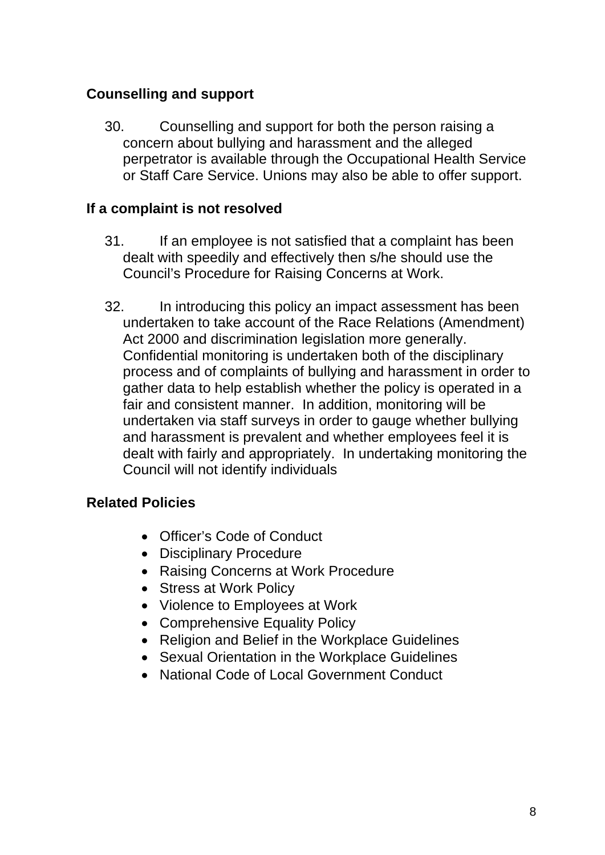#### **Counselling and support**

30. Counselling and support for both the person raising a concern about bullying and harassment and the alleged perpetrator is available through the Occupational Health Service or Staff Care Service. Unions may also be able to offer support.

#### **If a complaint is not resolved**

- 31. If an employee is not satisfied that a complaint has been dealt with speedily and effectively then s/he should use the Council's Procedure for Raising Concerns at Work.
- 32. In introducing this policy an impact assessment has been undertaken to take account of the Race Relations (Amendment) Act 2000 and discrimination legislation more generally. Confidential monitoring is undertaken both of the disciplinary process and of complaints of bullying and harassment in order to gather data to help establish whether the policy is operated in a fair and consistent manner. In addition, monitoring will be undertaken via staff surveys in order to gauge whether bullying and harassment is prevalent and whether employees feel it is dealt with fairly and appropriately. In undertaking monitoring the Council will not identify individuals

#### **Related Policies**

- Officer's Code of Conduct
- Disciplinary Procedure
- Raising Concerns at Work Procedure
- Stress at Work Policy
- Violence to Employees at Work
- Comprehensive Equality Policy
- Religion and Belief in the Workplace Guidelines
- Sexual Orientation in the Workplace Guidelines
- National Code of Local Government Conduct